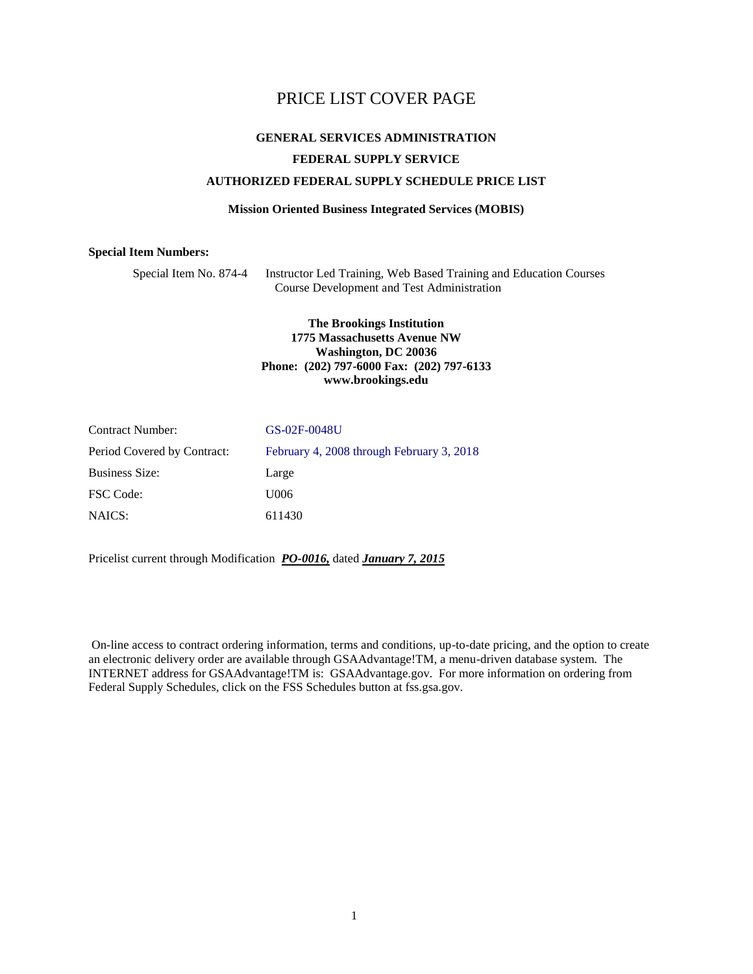### <span id="page-0-0"></span>PRICE LIST COVER PAGE

### **GENERAL SERVICES ADMINISTRATION FEDERAL SUPPLY SERVICE AUTHORIZED FEDERAL SUPPLY SCHEDULE PRICE LIST**

#### **Mission Oriented Business Integrated Services (MOBIS)**

#### **Special Item Numbers:**

Special Item No. 874-4 Instructor Led Training, Web Based Training and Education Courses Course Development and Test Administration

#### **The Brookings Institution 1775 Massachusetts Avenue NW Washington, DC 20036 Phone: (202) 797-6000 Fax: (202) 797-6133 www.brookings.edu**

| <b>Contract Number:</b>     | GS-02F-0048U                              |
|-----------------------------|-------------------------------------------|
| Period Covered by Contract: | February 4, 2008 through February 3, 2018 |
| <b>Business Size:</b>       | Large                                     |
| <b>FSC</b> Code:            | U006                                      |
| NAICS:                      | 611430                                    |

Pricelist current through Modification *PO-0016,* dated *January 7, 2015*

On-line access to [contract ordering information, terms and conditions, up-to-date pricing, and the option to create](http://www.fss.gsa.gov/)  [an electronic delivery order are available through GSAAdvantage!TM, a menu-driven database system. The](http://www.fss.gsa.gov/)  [INTERNET address for GSAAdvantage!TM is: GSAAdvantage.gov. For more information on ordering from](http://www.fss.gsa.gov/)  [Federal Supply Schedules, click on the FSS Schedules button at fss.gsa.gov.](http://www.fss.gsa.gov/)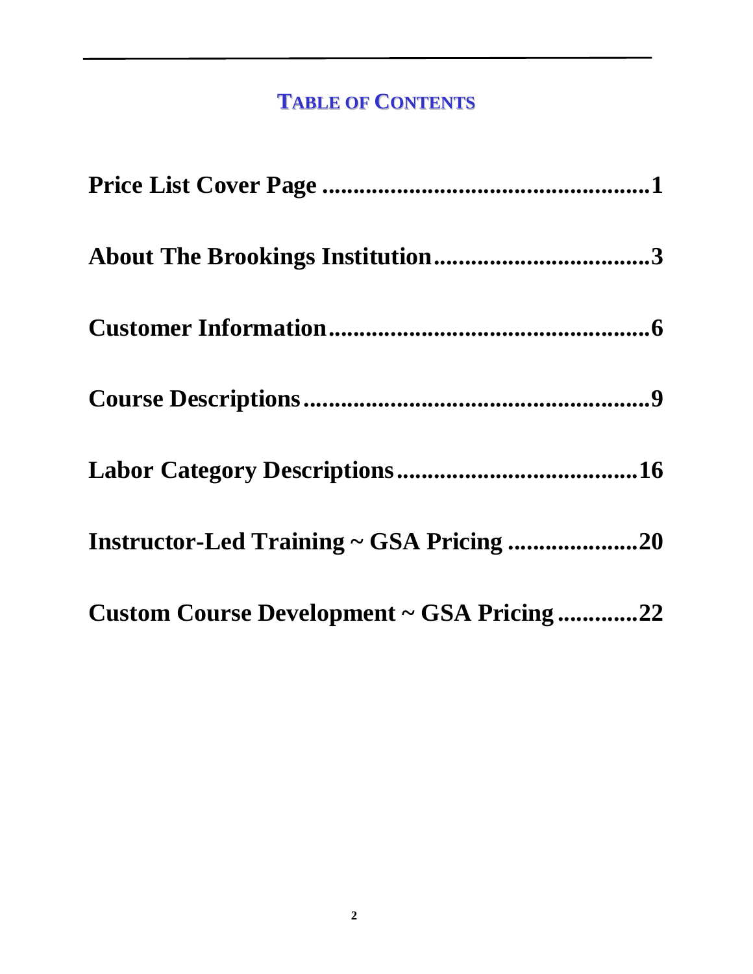# **TABLE OF CONTENTS**

| Instructor-Led Training ~ GSA Pricing 20  |  |
|-------------------------------------------|--|
| Custom Course Development ~ GSA Pricing22 |  |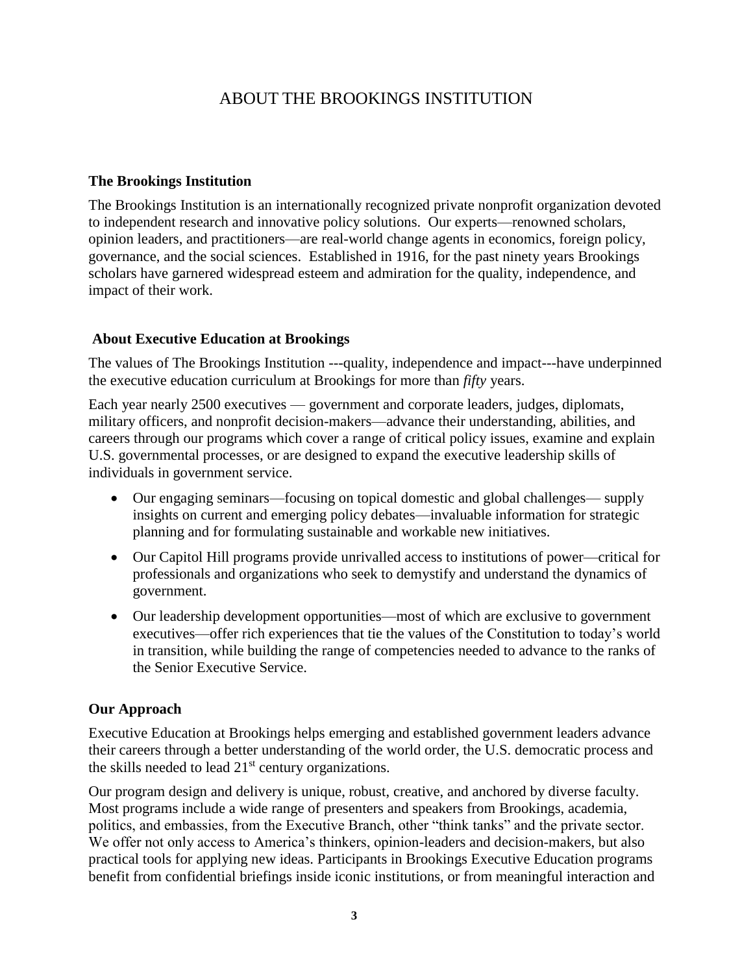# ABOUT THE BROOKINGS INSTITUTION

### <span id="page-2-0"></span>**The Brookings Institution**

The Brookings Institution is an internationally recognized private nonprofit organization devoted to independent research and innovative policy solutions. Our experts—renowned scholars, opinion leaders, and practitioners—are real-world change agents in economics, foreign policy, governance, and the social sciences. Established in 1916, for the past ninety years Brookings scholars have garnered widespread esteem and admiration for the quality, independence, and impact of their work.

### **About Executive Education at Brookings**

The values of The Brookings Institution ---quality, independence and impact---have underpinned the executive education curriculum at Brookings for more than *fifty* years.

Each year nearly 2500 executives — government and corporate leaders, judges, diplomats, military officers, and nonprofit decision-makers—advance their understanding, abilities, and careers through our programs which cover a range of critical policy issues, examine and explain U.S. governmental processes, or are designed to expand the executive leadership skills of individuals in government service.

- Our engaging seminars—focusing on topical domestic and global challenges— supply insights on current and emerging policy debates—invaluable information for strategic planning and for formulating sustainable and workable new initiatives.
- Our Capitol Hill programs provide unrivalled access to institutions of power—critical for professionals and organizations who seek to demystify and understand the dynamics of government.
- Our leadership development opportunities—most of which are exclusive to government executives—offer rich experiences that tie the values of the Constitution to today's world in transition, while building the range of competencies needed to advance to the ranks of the Senior Executive Service.

### **Our Approach**

Executive Education at Brookings helps emerging and established government leaders advance their careers through a better understanding of the world order, the U.S. democratic process and the skills needed to lead  $21<sup>st</sup>$  century organizations.

Our program design and delivery is unique, robust, creative, and anchored by diverse faculty. Most programs include a wide range of presenters and speakers from Brookings, academia, politics, and embassies, from the Executive Branch, other "think tanks" and the private sector. We offer not only access to America's thinkers, opinion-leaders and decision-makers, but also practical tools for applying new ideas. Participants in Brookings Executive Education programs benefit from confidential briefings inside iconic institutions, or from meaningful interaction and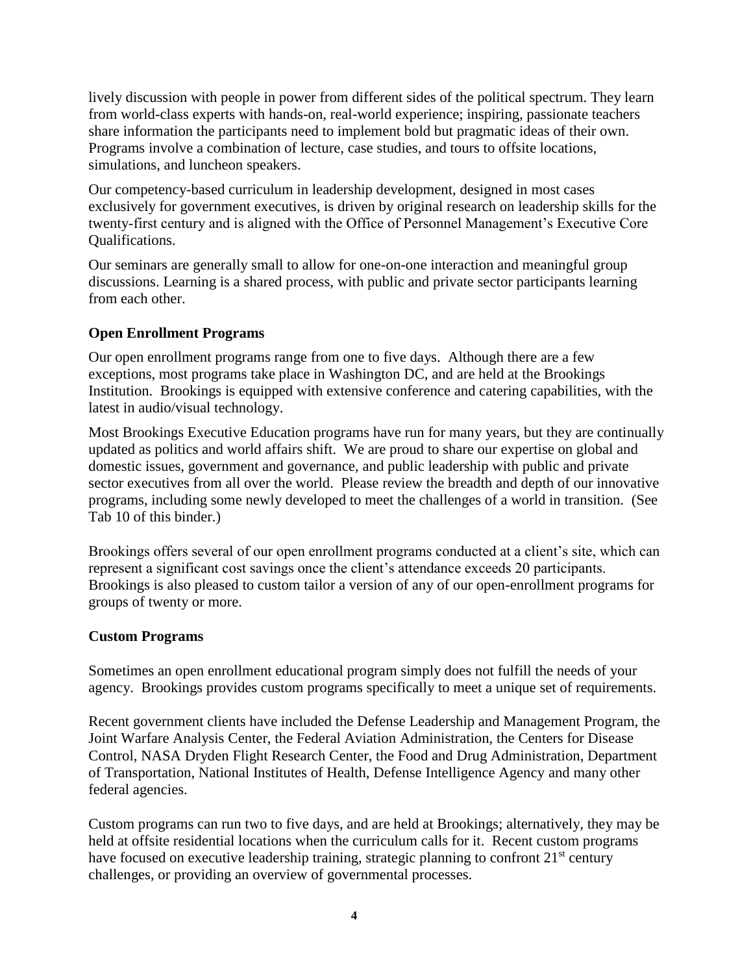lively discussion with people in power from different sides of the political spectrum. They learn from world-class experts with hands-on, real-world experience; inspiring, passionate teachers share information the participants need to implement bold but pragmatic ideas of their own. Programs involve a combination of lecture, case studies, and tours to offsite locations, simulations, and luncheon speakers.

Our competency-based curriculum in leadership development, designed in most cases exclusively for government executives, is driven by original research on leadership skills for the twenty-first century and is aligned with the Office of Personnel Management's Executive Core Qualifications.

Our seminars are generally small to allow for one-on-one interaction and meaningful group discussions. Learning is a shared process, with public and private sector participants learning from each other.

### **Open Enrollment Programs**

Our open enrollment programs range from one to five days. Although there are a few exceptions, most programs take place in Washington DC, and are held at the Brookings Institution. Brookings is equipped with extensive conference and catering capabilities, with the latest in audio/visual technology.

Most Brookings Executive Education programs have run for many years, but they are continually updated as politics and world affairs shift. We are proud to share our expertise on global and domestic issues, government and governance, and public leadership with public and private sector executives from all over the world. Please review the breadth and depth of our innovative programs, including some newly developed to meet the challenges of a world in transition. (See Tab 10 of this binder.)

Brookings offers several of our open enrollment programs conducted at a client's site, which can represent a significant cost savings once the client's attendance exceeds 20 participants. Brookings is also pleased to custom tailor a version of any of our open-enrollment programs for groups of twenty or more.

#### **Custom Programs**

Sometimes an open enrollment educational program simply does not fulfill the needs of your agency. Brookings provides custom programs specifically to meet a unique set of requirements.

Recent government clients have included the Defense Leadership and Management Program, the Joint Warfare Analysis Center, the Federal Aviation Administration, the Centers for Disease Control, NASA Dryden Flight Research Center, the Food and Drug Administration, Department of Transportation, National Institutes of Health, Defense Intelligence Agency and many other federal agencies.

Custom programs can run two to five days, and are held at Brookings; alternatively, they may be held at offsite residential locations when the curriculum calls for it. Recent custom programs have focused on executive leadership training, strategic planning to confront 21<sup>st</sup> century challenges, or providing an overview of governmental processes.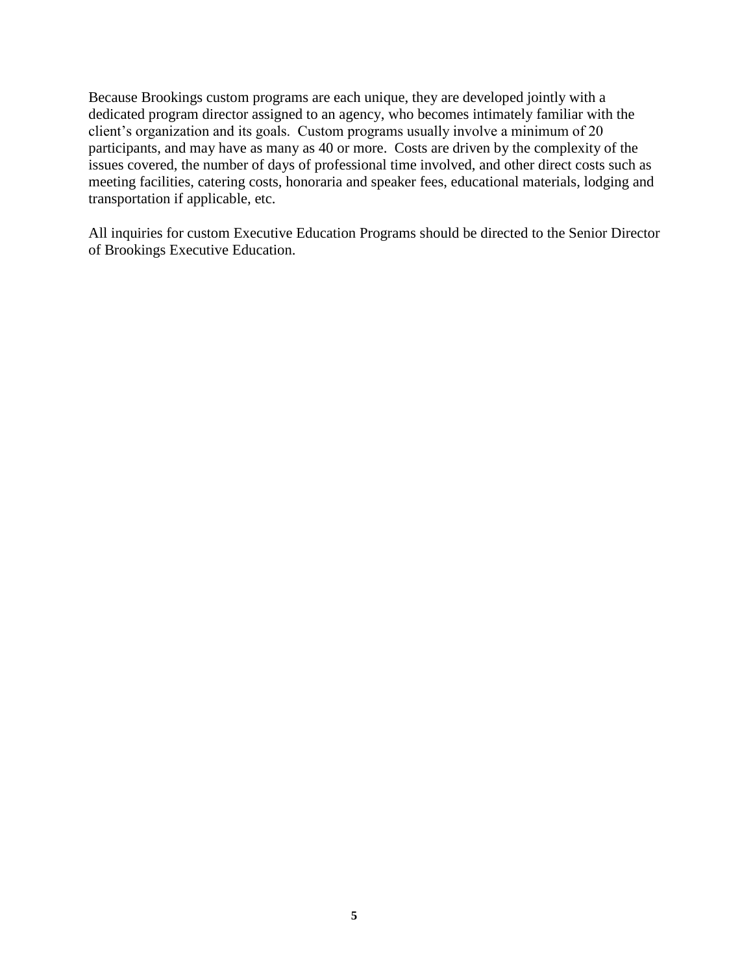Because Brookings custom programs are each unique, they are developed jointly with a dedicated program director assigned to an agency, who becomes intimately familiar with the client's organization and its goals. Custom programs usually involve a minimum of 20 participants, and may have as many as 40 or more. Costs are driven by the complexity of the issues covered, the number of days of professional time involved, and other direct costs such as meeting facilities, catering costs, honoraria and speaker fees, educational materials, lodging and transportation if applicable, etc.

All inquiries for custom Executive Education Programs should be directed to the Senior Director of Brookings Executive Education.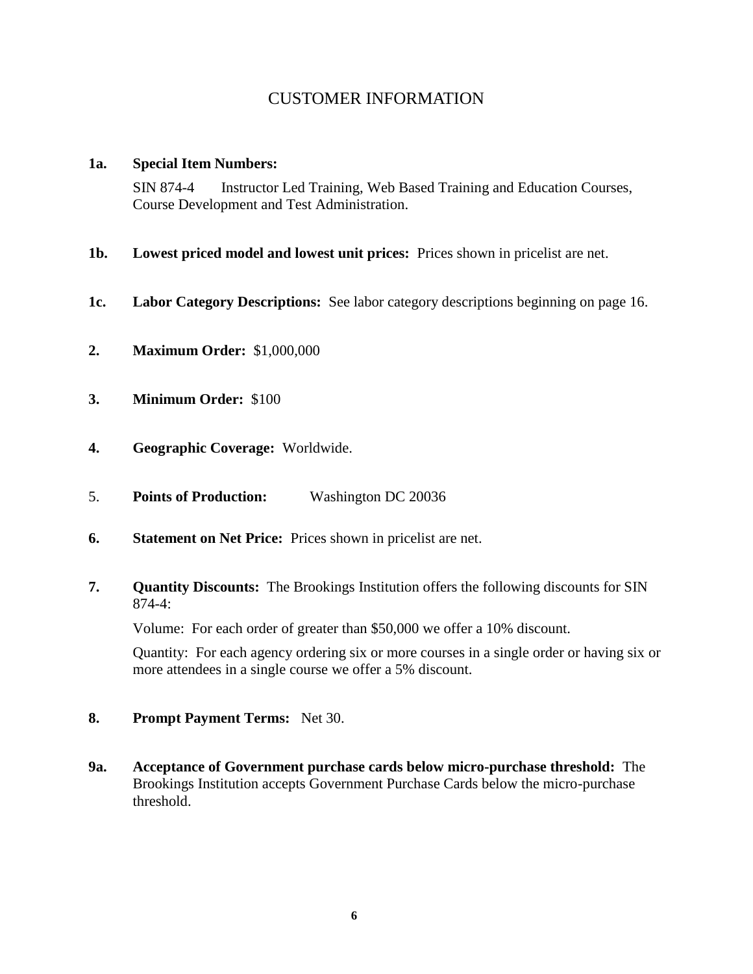### CUSTOMER INFORMATION

#### <span id="page-5-0"></span>**1a. Special Item Numbers:**

SIN 874-4 Instructor Led Training, Web Based Training and Education Courses, Course Development and Test Administration.

- **1b. Lowest priced model and lowest unit prices:** Prices shown in pricelist are net.
- **1c. Labor Category Descriptions:** See labor category descriptions beginning on page 16.
- **2. Maximum Order:** \$1,000,000
- **3. Minimum Order:** \$100
- **4. Geographic Coverage:** Worldwide.
- 5. **Points of Production:** Washington DC 20036
- **6. Statement on Net Price:** Prices shown in pricelist are net.
- **7. Quantity Discounts:** The Brookings Institution offers the following discounts for SIN 874-4:

Volume: For each order of greater than \$50,000 we offer a 10% discount.

Quantity: For each agency ordering six or more courses in a single order or having six or more attendees in a single course we offer a 5% discount.

- **8. Prompt Payment Terms:** Net 30.
- **9a. Acceptance of Government purchase cards below micro-purchase threshold:** The Brookings Institution accepts Government Purchase Cards below the micro-purchase threshold.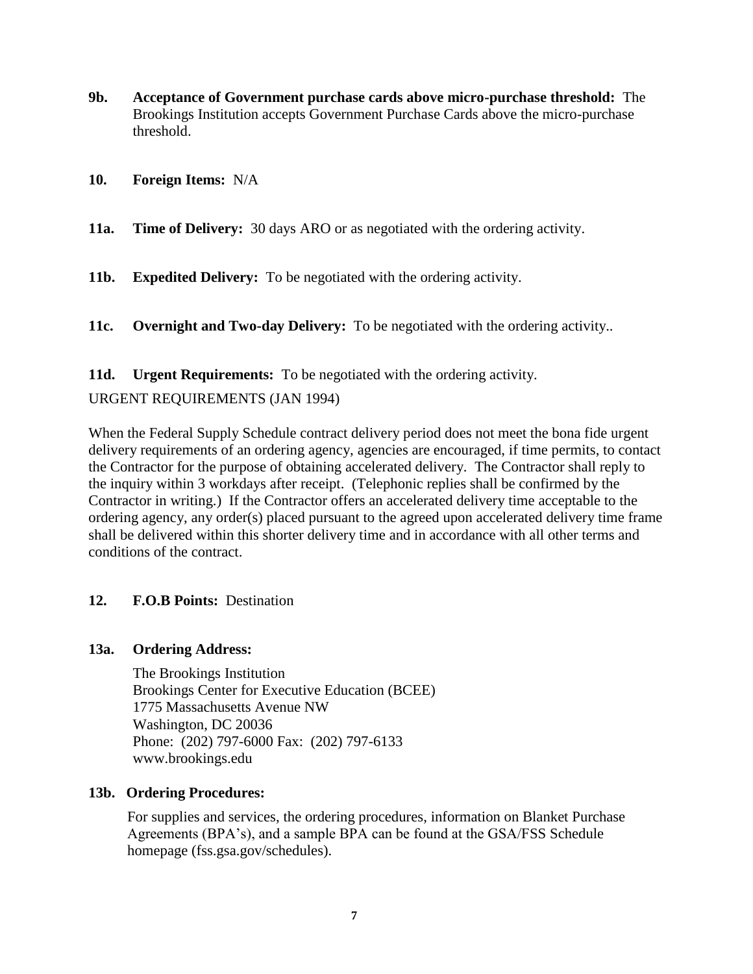- **9b. Acceptance of Government purchase cards above micro-purchase threshold:** The Brookings Institution accepts Government Purchase Cards above the micro-purchase threshold.
- **10. Foreign Items:** N/A
- **11a. Time of Delivery:** 30 days ARO or as negotiated with the ordering activity.
- **11b. Expedited Delivery:** To be negotiated with the ordering activity.
- **11c. Overnight and Two-day Delivery:** To be negotiated with the ordering activity..

**11d. Urgent Requirements:** To be negotiated with the ordering activity.

### URGENT REQUIREMENTS (JAN 1994)

When the Federal Supply Schedule contract delivery period does not meet the bona fide urgent delivery requirements of an ordering agency, agencies are encouraged, if time permits, to contact the Contractor for the purpose of obtaining accelerated delivery. The Contractor shall reply to the inquiry within 3 workdays after receipt. (Telephonic replies shall be confirmed by the Contractor in writing.) If the Contractor offers an accelerated delivery time acceptable to the ordering agency, any order(s) placed pursuant to the agreed upon accelerated delivery time frame shall be delivered within this shorter delivery time and in accordance with all other terms and conditions of the contract.

#### **12. F.O.B Points:** Destination

#### **13a. Ordering Address:**

The Brookings Institution Brookings Center for Executive Education (BCEE) 1775 Massachusetts Avenue NW Washington, DC 20036 Phone: (202) 797-6000 Fax: (202) 797-6133 www.brookings.edu

#### **13b. Ordering Procedures:**

For supplies and services, the ordering procedures, information on Blanket Purchase Agreements (BPA's), and a sample BPA can be found at the GSA/FSS Schedule homepage (fss.gsa.gov/schedules).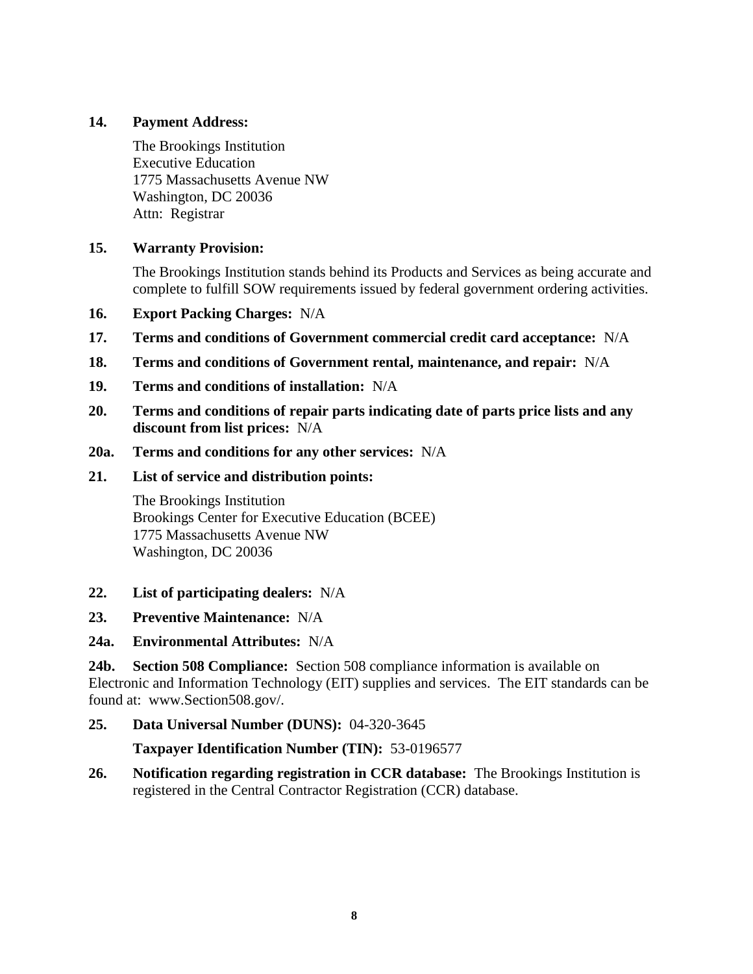### **14. Payment Address:**

The Brookings Institution Executive Education 1775 Massachusetts Avenue NW Washington, DC 20036 Attn: Registrar

### **15. Warranty Provision:**

The Brookings Institution stands behind its Products and Services as being accurate and complete to fulfill SOW requirements issued by federal government ordering activities.

- **16. Export Packing Charges:** N/A
- **17. Terms and conditions of Government commercial credit card acceptance:** N/A
- **18. Terms and conditions of Government rental, maintenance, and repair:** N/A
- **19. Terms and conditions of installation:** N/A
- **20. Terms and conditions of repair parts indicating date of parts price lists and any discount from list prices:** N/A
- **20a. Terms and conditions for any other services:** N/A

#### **21. List of service and distribution points:**

The Brookings Institution Brookings Center for Executive Education (BCEE) 1775 Massachusetts Avenue NW Washington, DC 20036

- **22. List of participating dealers:** N/A
- **23. Preventive Maintenance:** N/A
- **24a. Environmental Attributes:** N/A

**24b. Section 508 Compliance:** Section 508 compliance information is available on Electronic and Information Technology (EIT) supplies and services. The EIT standards can be found at: www.Section508.gov/.

### **25. Data Universal Number (DUNS):** 04-320-3645

**Taxpayer Identification Number (TIN):** 53-0196577

**26. Notification regarding registration in CCR database:** The Brookings Institution is registered in the Central Contractor Registration (CCR) database.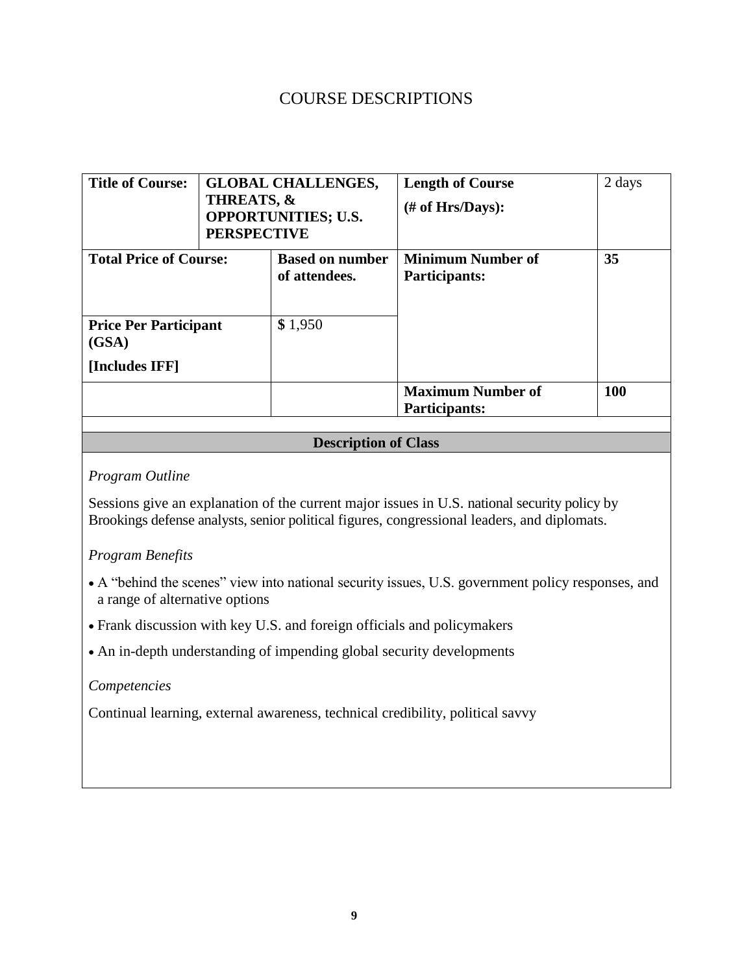## COURSE DESCRIPTIONS

<span id="page-8-0"></span>

| <b>Title of Course:</b>                                 | <b>GLOBAL CHALLENGES,</b><br><b>THREATS, &amp;</b><br><b>OPPORTUNITIES; U.S.</b><br><b>PERSPECTIVE</b> |                                         | <b>Length of Course</b><br>$#$ of Hrs/Days):     | 2 days |
|---------------------------------------------------------|--------------------------------------------------------------------------------------------------------|-----------------------------------------|--------------------------------------------------|--------|
| <b>Total Price of Course:</b>                           |                                                                                                        | <b>Based on number</b><br>of attendees. | <b>Minimum Number of</b><br>Participants:        | 35     |
| <b>Price Per Participant</b><br>(GSA)<br>[Includes IFF] |                                                                                                        | \$1,950                                 |                                                  |        |
|                                                         |                                                                                                        |                                         | <b>Maximum Number of</b><br><b>Participants:</b> | 100    |

### **Description of Class**

### *Program Outline*

Sessions give an explanation of the current major issues in U.S. national security policy by Brookings defense analysts, senior political figures, congressional leaders, and diplomats.

### *Program Benefits*

- A "behind the scenes" view into national security issues, U.S. government policy responses, and a range of alternative options
- Frank discussion with key U.S. and foreign officials and policymakers
- An in-depth understanding of impending global security developments

#### *Competencies*

Continual learning, external awareness, technical credibility, political savvy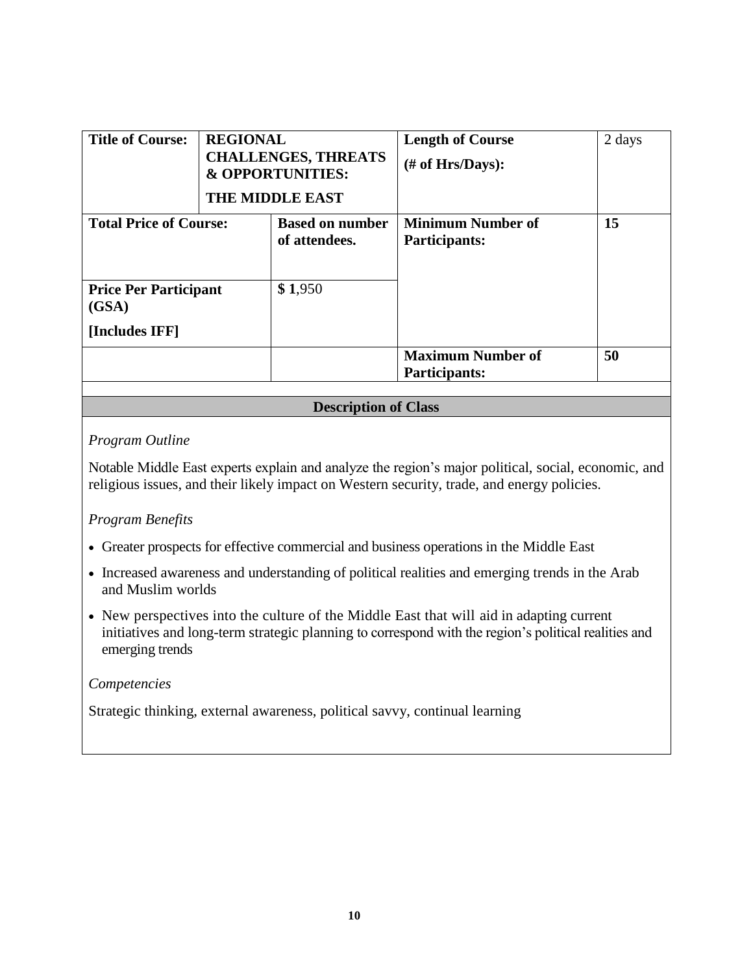| <b>Title of Course:</b>                                 | <b>REGIONAL</b><br><b>CHALLENGES, THREATS</b><br><b>&amp; OPPORTUNITIES:</b><br><b>THE MIDDLE EAST</b> |                                         | <b>Length of Course</b><br>$#$ of Hrs/Days):     | 2 days |
|---------------------------------------------------------|--------------------------------------------------------------------------------------------------------|-----------------------------------------|--------------------------------------------------|--------|
| <b>Total Price of Course:</b>                           |                                                                                                        | <b>Based on number</b><br>of attendees. | <b>Minimum Number of</b><br><b>Participants:</b> | 15     |
| <b>Price Per Participant</b><br>(GSA)<br>[Includes IFF] |                                                                                                        | \$1,950                                 |                                                  |        |
|                                                         |                                                                                                        |                                         | <b>Maximum Number of</b><br><b>Participants:</b> | 50     |

### *Program Outline*

Notable Middle East experts explain and analyze the region's major political, social, economic, and religious issues, and their likely impact on Western security, trade, and energy policies.

### *Program Benefits*

- Greater prospects for effective commercial and business operations in the Middle East
- Increased awareness and understanding of political realities and emerging trends in the Arab and Muslim worlds
- New perspectives into the culture of the Middle East that will aid in adapting current initiatives and long-term strategic planning to correspond with the region's political realities and emerging trends

#### *Competencies*

Strategic thinking, external awareness, political savvy, continual learning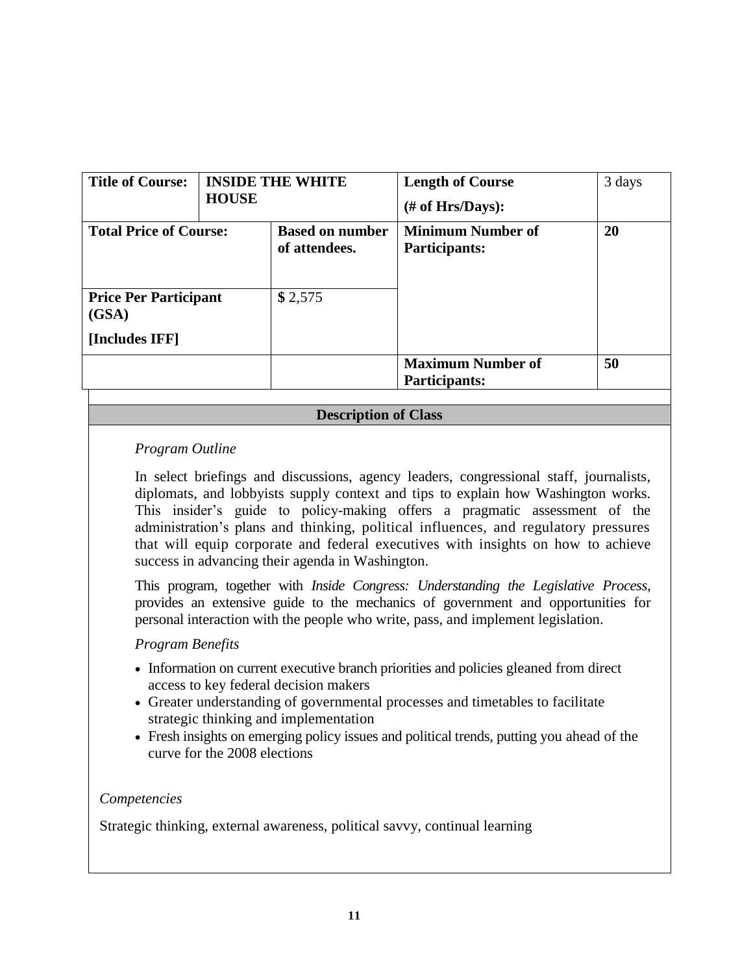| <b>Title of Course:</b>               | <b>INSIDE THE WHITE</b><br><b>HOUSE</b> |                                         | <b>Length of Course</b><br>$#$ of Hrs/Days):     | 3 days |
|---------------------------------------|-----------------------------------------|-----------------------------------------|--------------------------------------------------|--------|
| <b>Total Price of Course:</b>         |                                         | <b>Based on number</b><br>of attendees. | <b>Minimum Number of</b><br>Participants:        | 20     |
| <b>Price Per Participant</b><br>(GSA) |                                         | \$2,575                                 |                                                  |        |
| [Includes IFF]                        |                                         |                                         |                                                  |        |
|                                       |                                         |                                         | <b>Maximum Number of</b><br><b>Participants:</b> | 50     |

### *Program Outline*

In select briefings and discussions, agency leaders, congressional staff, journalists, diplomats, and lobbyists supply context and tips to explain how Washington works. This insider's guide to policy-making offers a pragmatic assessment of the administration's plans and thinking, political influences, and regulatory pressures that will equip corporate and federal executives with insights on how to achieve success in advancing their agenda in Washington.

This program, together with *Inside Congress: Understanding the Legislative Process,*  provides an extensive guide to the mechanics of government and opportunities for personal interaction with the people who write, pass, and implement legislation.

### *Program Benefits*

- Information on current executive branch priorities and policies gleaned from direct access to key federal decision makers
- Greater understanding of governmental processes and timetables to facilitate strategic thinking and implementation
- Fresh insights on emerging policy issues and political trends, putting you ahead of the curve for the 2008 elections

#### *Competencies*

Strategic thinking, external awareness, political savvy, continual learning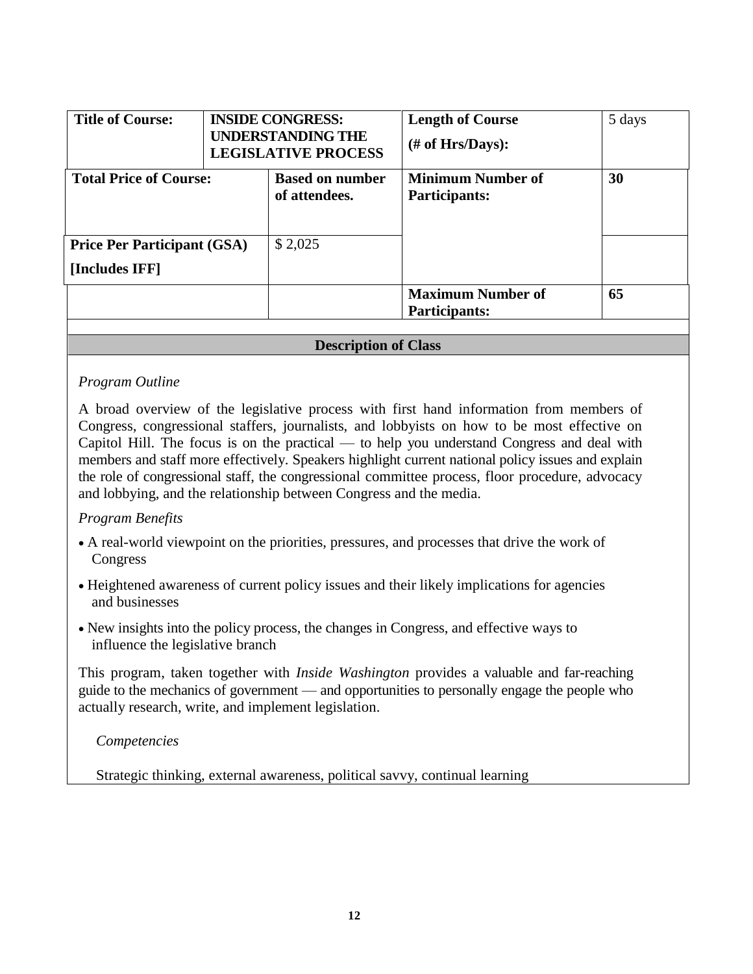| <b>Title of Course:</b>                              | <b>INSIDE CONGRESS:</b><br><b>UNDERSTANDING THE</b><br><b>LEGISLATIVE PROCESS</b> |                                         | <b>Length of Course</b><br>$#$ of Hrs/Days):     | 5 days |
|------------------------------------------------------|-----------------------------------------------------------------------------------|-----------------------------------------|--------------------------------------------------|--------|
| <b>Total Price of Course:</b>                        |                                                                                   | <b>Based on number</b><br>of attendees. | <b>Minimum Number of</b><br><b>Participants:</b> | 30     |
| <b>Price Per Participant (GSA)</b><br>[Includes IFF] |                                                                                   | \$2,025                                 |                                                  |        |
|                                                      |                                                                                   |                                         | <b>Maximum Number of</b><br><b>Participants:</b> | 65     |

### *Program Outline*

A broad overview of the legislative process with first hand information from members of Congress, congressional staffers, journalists, and lobbyists on how to be most effective on Capitol Hill. The focus is on the practical — to help you understand Congress and deal with members and staff more effectively. Speakers highlight current national policy issues and explain the role of congressional staff, the congressional committee process, floor procedure, advocacy and lobbying, and the relationship between Congress and the media.

#### *Program Benefits*

- A real-world viewpoint on the priorities, pressures, and processes that drive the work of Congress
- Heightened awareness of current policy issues and their likely implications for agencies and businesses
- New insights into the policy process, the changes in Congress, and effective ways to influence the legislative branch

This program, taken together with *Inside Washington* provides a valuable and far-reaching guide to the mechanics of government — and opportunities to personally engage the people who actually research, write, and implement legislation.

*Competencies*

Strategic thinking, external awareness, political savvy, continual learning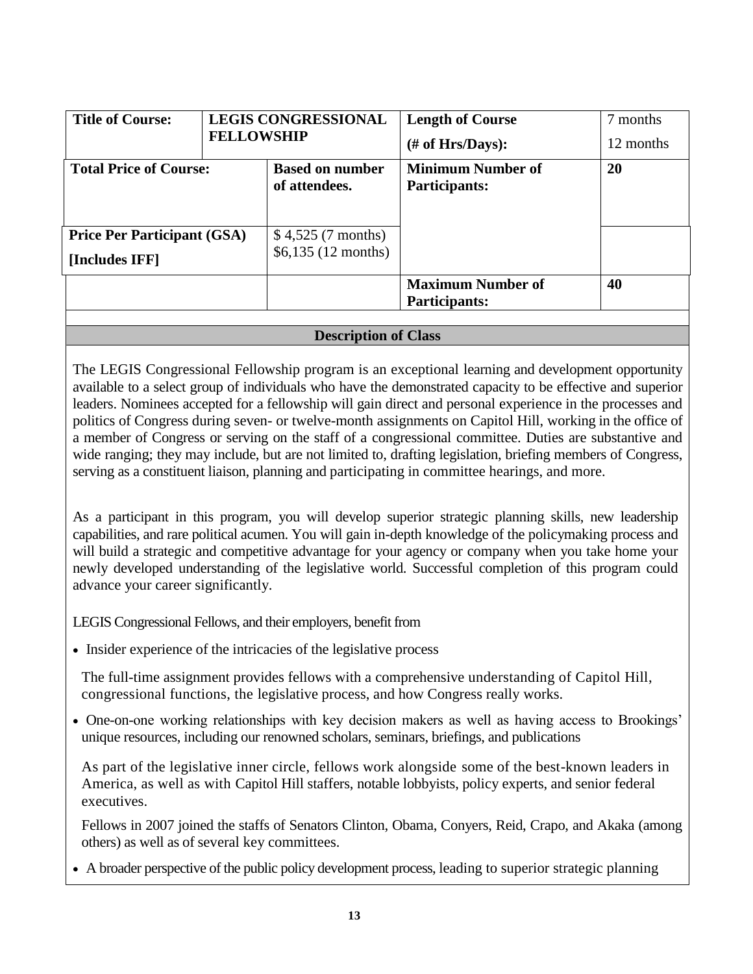| <b>Title of Course:</b>            | <b>LEGIS CONGRESSIONAL</b><br><b>FELLOWSHIP</b> |                                         | <b>Length of Course</b><br>$#$ of Hrs/Days):     | 7 months<br>12 months |
|------------------------------------|-------------------------------------------------|-----------------------------------------|--------------------------------------------------|-----------------------|
| <b>Total Price of Course:</b>      |                                                 | <b>Based on number</b><br>of attendees. | <b>Minimum Number of</b><br>Participants:        | 20                    |
| <b>Price Per Participant (GSA)</b> |                                                 | \$4,525(7 months)                       |                                                  |                       |
| [Includes IFF]                     |                                                 | \$6,135(12 months)                      |                                                  |                       |
|                                    |                                                 |                                         | <b>Maximum Number of</b><br><b>Participants:</b> | 40                    |

The LEGIS Congressional Fellowship program is an exceptional learning and development opportunity available to a select group of individuals who have the demonstrated capacity to be effective and superior leaders. Nominees accepted for a fellowship will gain direct and personal experience in the processes and politics of Congress during seven- or twelve-month assignments on Capitol Hill, working in the office of a member of Congress or serving on the staff of a congressional committee. Duties are substantive and wide ranging; they may include, but are not limited to, drafting legislation, briefing members of Congress, serving as a constituent liaison, planning and participating in committee hearings, and more.

As a participant in this program, you will develop superior strategic planning skills, new leadership capabilities, and rare political acumen. You will gain in-depth knowledge of the policymaking process and will build a strategic and competitive advantage for your agency or company when you take home your newly developed understanding of the legislative world. Successful completion of this program could advance your career significantly.

LEGIS Congressional Fellows, and their employers, benefit from

• Insider experience of the intricacies of the legislative process

The full-time assignment provides fellows with a comprehensive understanding of Capitol Hill, congressional functions, the legislative process, and how Congress really works.

 One-on-one working relationships with key decision makers as well as having access to Brookings' unique resources, including our renowned scholars, seminars, briefings, and publications

As part of the legislative inner circle, fellows work alongside some of the best-known leaders in America, as well as with Capitol Hill staffers, notable lobbyists, policy experts, and senior federal executives.

Fellows in 2007 joined the staffs of Senators Clinton, Obama, Conyers, Reid, Crapo, and Akaka (among others) as well as of several key committees.

A broader perspective of the public policy development process, leading to superior strategic planning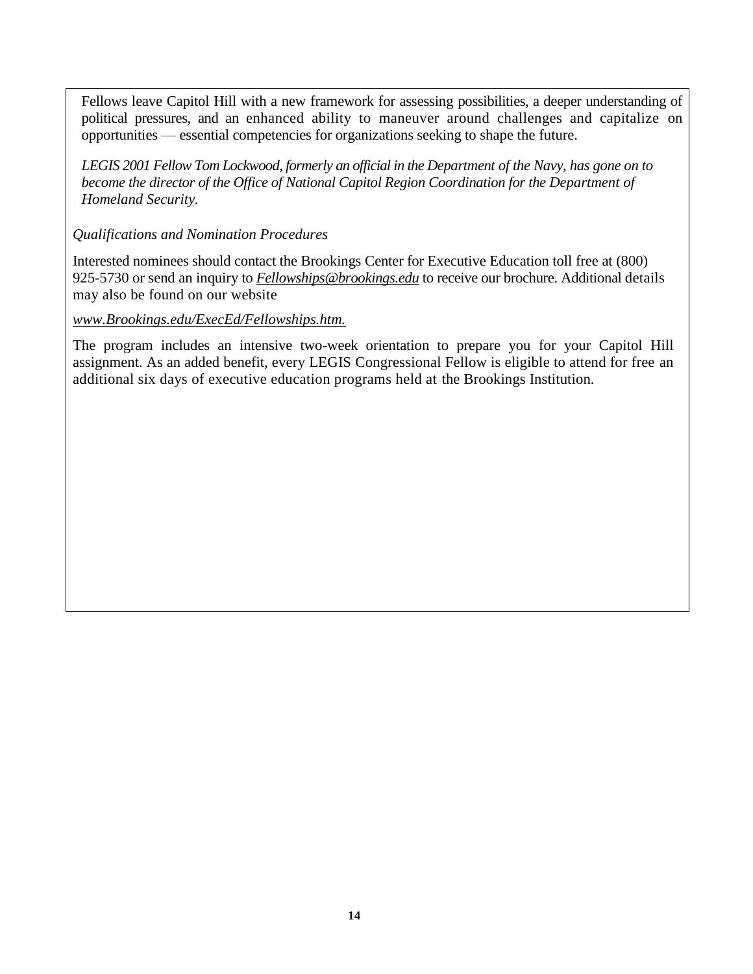Fellows leave Capitol Hill with a new framework for assessing possibilities, a deeper understanding of political pressures, and an enhanced ability to maneuver around challenges and capitalize on opportunities — essential competencies for organizations seeking to shape the future.

*LEGIS 2001 Fellow Tom Lockwood, formerly an official in the Department of the Navy, has gone on to become the director of the Office of National Capitol Region Coordination for the Department of Homeland Security.*

*Qualifications and Nomination Procedures*

Interested nominees should contact the Brookings Center for Executive Education toll free at (800) 925-5730 or send an inquiry to *[Fellowships@brookings.edu](mailto:Fellowships@brookings.edu)* to receive our brochure. Additional details may also be found on our website

*[www.Brookings.edu/ExecEd/Fellowships.htm.](http://www.brookings.edu/ExecEd/Fellowships.htm.)*

The program includes an intensive two-week orientation to prepare you for your Capitol Hill assignment. As an added benefit, every LEGIS Congressional Fellow is eligible to attend for free an additional six days of executive education programs held at the Brookings Institution.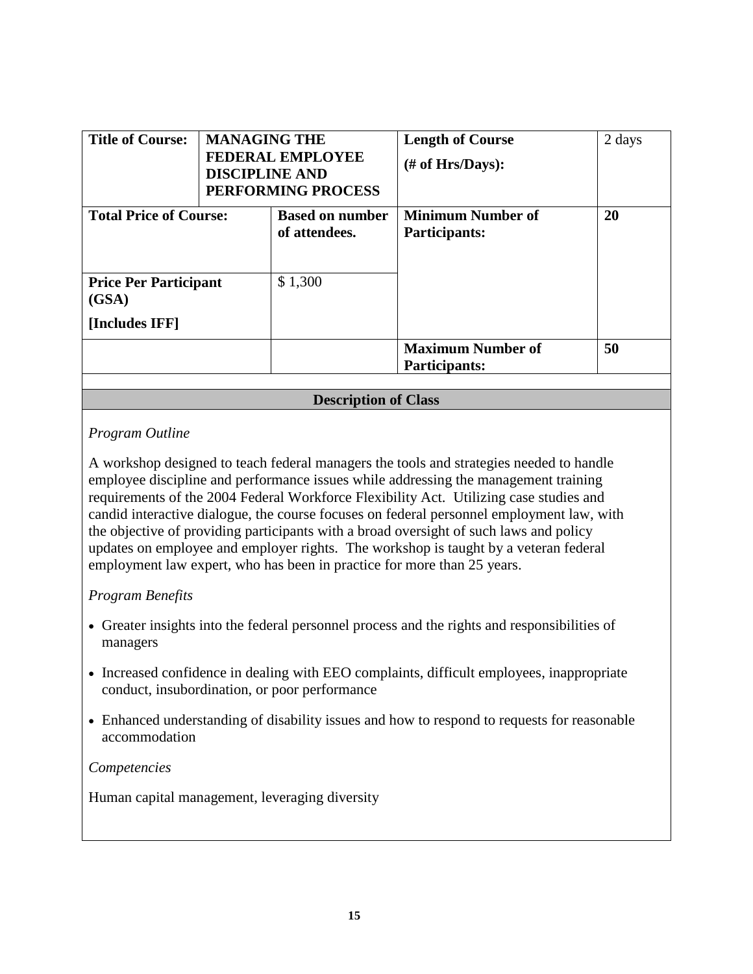| <b>Title of Course:</b>                                 | <b>MANAGING THE</b><br><b>FEDERAL EMPLOYEE</b><br><b>DISCIPLINE AND</b><br>PERFORMING PROCESS |                                         | <b>Length of Course</b><br>$#$ of Hrs/Days):     | 2 days |
|---------------------------------------------------------|-----------------------------------------------------------------------------------------------|-----------------------------------------|--------------------------------------------------|--------|
| <b>Total Price of Course:</b>                           |                                                                                               | <b>Based on number</b><br>of attendees. | <b>Minimum Number of</b><br>Participants:        | 20     |
| <b>Price Per Participant</b><br>(GSA)<br>[Includes IFF] |                                                                                               | \$1,300                                 |                                                  |        |
|                                                         |                                                                                               |                                         | <b>Maximum Number of</b><br><b>Participants:</b> | 50     |

### *Program Outline*

A workshop designed to teach federal managers the tools and strategies needed to handle employee discipline and performance issues while addressing the management training requirements of the 2004 Federal Workforce Flexibility Act. Utilizing case studies and candid interactive dialogue, the course focuses on federal personnel employment law, with the objective of providing participants with a broad oversight of such laws and policy updates on employee and employer rights. The workshop is taught by a veteran federal employment law expert, who has been in practice for more than 25 years.

### *Program Benefits*

- Greater insights into the federal personnel process and the rights and responsibilities of managers
- Increased confidence in dealing with EEO complaints, difficult employees, inappropriate conduct, insubordination, or poor performance
- Enhanced understanding of disability issues and how to respond to requests for reasonable accommodation

#### *Competencies*

Human capital management, leveraging diversity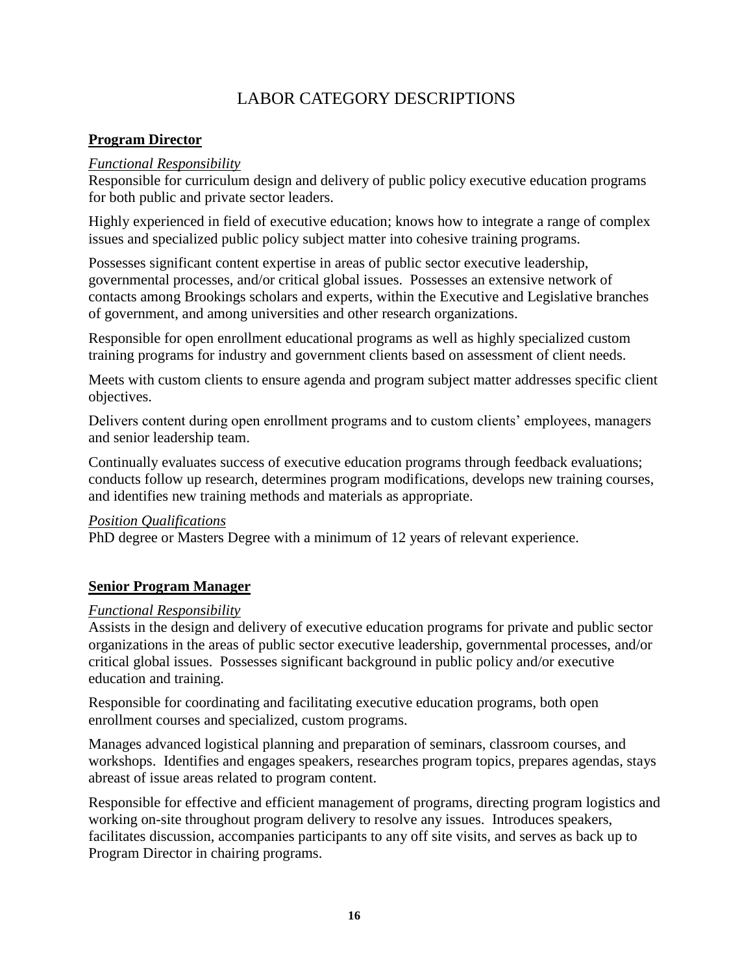# LABOR CATEGORY DESCRIPTIONS

### <span id="page-15-0"></span>**Program Director**

### *Functional Responsibility*

Responsible for curriculum design and delivery of public policy executive education programs for both public and private sector leaders.

Highly experienced in field of executive education; knows how to integrate a range of complex issues and specialized public policy subject matter into cohesive training programs.

Possesses significant content expertise in areas of public sector executive leadership, governmental processes, and/or critical global issues. Possesses an extensive network of contacts among Brookings scholars and experts, within the Executive and Legislative branches of government, and among universities and other research organizations.

Responsible for open enrollment educational programs as well as highly specialized custom training programs for industry and government clients based on assessment of client needs.

Meets with custom clients to ensure agenda and program subject matter addresses specific client objectives.

Delivers content during open enrollment programs and to custom clients' employees, managers and senior leadership team.

Continually evaluates success of executive education programs through feedback evaluations; conducts follow up research, determines program modifications, develops new training courses, and identifies new training methods and materials as appropriate.

#### *Position Qualifications*

PhD degree or Masters Degree with a minimum of 12 years of relevant experience.

### **Senior Program Manager**

#### *Functional Responsibility*

Assists in the design and delivery of executive education programs for private and public sector organizations in the areas of public sector executive leadership, governmental processes, and/or critical global issues. Possesses significant background in public policy and/or executive education and training.

Responsible for coordinating and facilitating executive education programs, both open enrollment courses and specialized, custom programs.

Manages advanced logistical planning and preparation of seminars, classroom courses, and workshops. Identifies and engages speakers, researches program topics, prepares agendas, stays abreast of issue areas related to program content.

Responsible for effective and efficient management of programs, directing program logistics and working on-site throughout program delivery to resolve any issues. Introduces speakers, facilitates discussion, accompanies participants to any off site visits, and serves as back up to Program Director in chairing programs.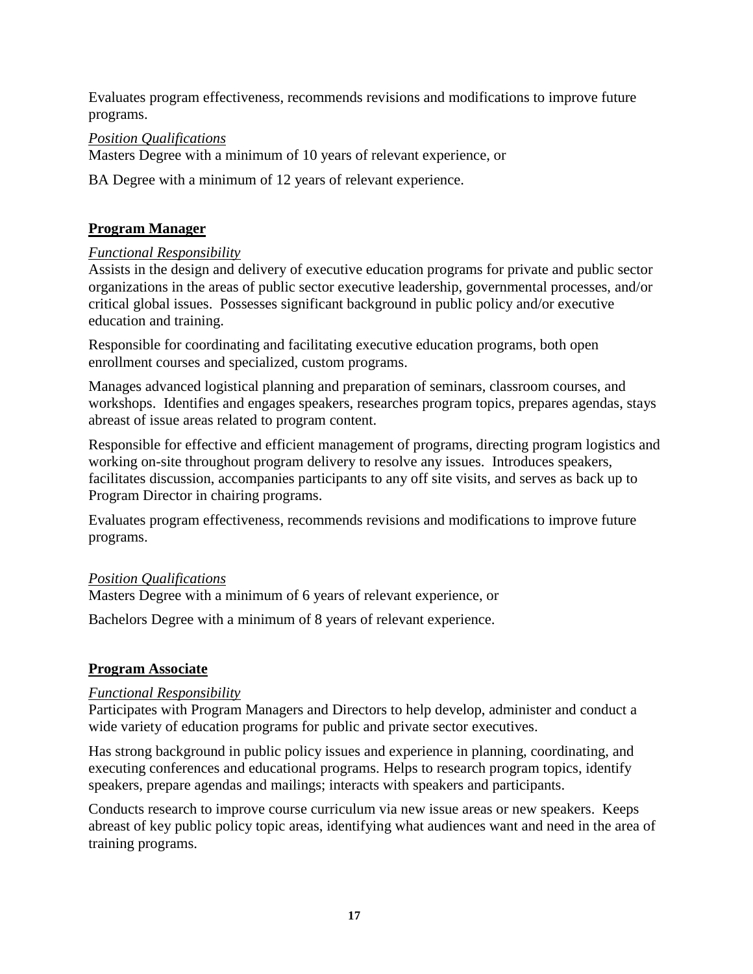Evaluates program effectiveness, recommends revisions and modifications to improve future programs.

### *Position Qualifications*

Masters Degree with a minimum of 10 years of relevant experience, or

BA Degree with a minimum of 12 years of relevant experience.

### **Program Manager**

### *Functional Responsibility*

Assists in the design and delivery of executive education programs for private and public sector organizations in the areas of public sector executive leadership, governmental processes, and/or critical global issues. Possesses significant background in public policy and/or executive education and training.

Responsible for coordinating and facilitating executive education programs, both open enrollment courses and specialized, custom programs.

Manages advanced logistical planning and preparation of seminars, classroom courses, and workshops. Identifies and engages speakers, researches program topics, prepares agendas, stays abreast of issue areas related to program content.

Responsible for effective and efficient management of programs, directing program logistics and working on-site throughout program delivery to resolve any issues. Introduces speakers, facilitates discussion, accompanies participants to any off site visits, and serves as back up to Program Director in chairing programs.

Evaluates program effectiveness, recommends revisions and modifications to improve future programs.

### *Position Qualifications*

Masters Degree with a minimum of 6 years of relevant experience, or

Bachelors Degree with a minimum of 8 years of relevant experience.

### **Program Associate**

### *Functional Responsibility*

Participates with Program Managers and Directors to help develop, administer and conduct a wide variety of education programs for public and private sector executives.

Has strong background in public policy issues and experience in planning, coordinating, and executing conferences and educational programs. Helps to research program topics, identify speakers, prepare agendas and mailings; interacts with speakers and participants.

Conducts research to improve course curriculum via new issue areas or new speakers. Keeps abreast of key public policy topic areas, identifying what audiences want and need in the area of training programs.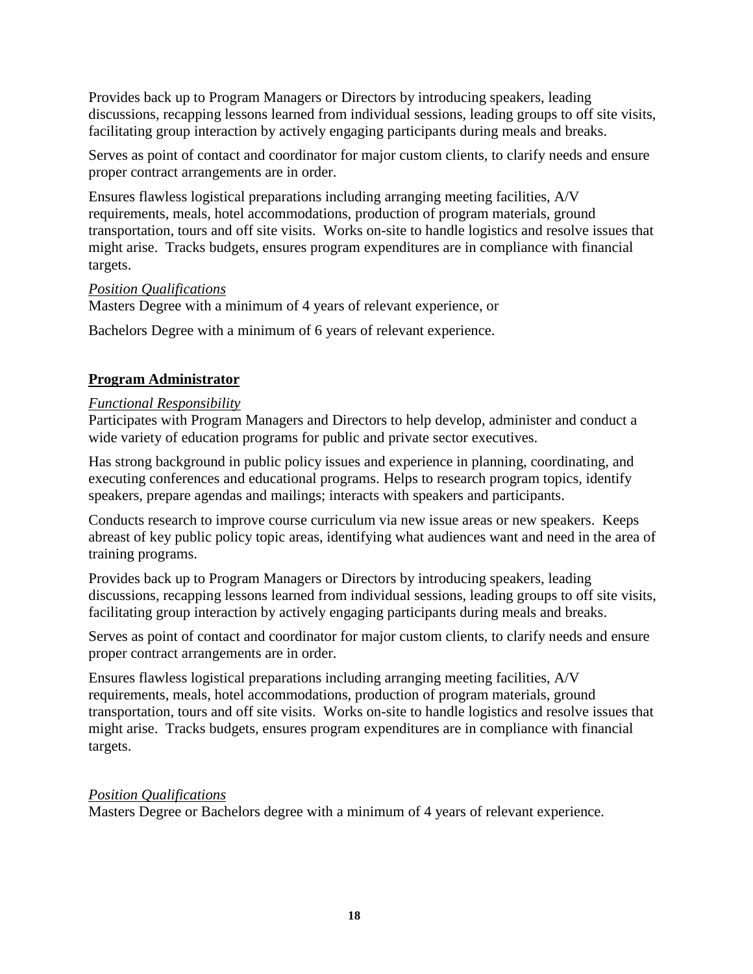Provides back up to Program Managers or Directors by introducing speakers, leading discussions, recapping lessons learned from individual sessions, leading groups to off site visits, facilitating group interaction by actively engaging participants during meals and breaks.

Serves as point of contact and coordinator for major custom clients, to clarify needs and ensure proper contract arrangements are in order.

Ensures flawless logistical preparations including arranging meeting facilities, A/V requirements, meals, hotel accommodations, production of program materials, ground transportation, tours and off site visits. Works on-site to handle logistics and resolve issues that might arise. Tracks budgets, ensures program expenditures are in compliance with financial targets.

#### *Position Qualifications*

Masters Degree with a minimum of 4 years of relevant experience, or

Bachelors Degree with a minimum of 6 years of relevant experience.

### **Program Administrator**

### *Functional Responsibility*

Participates with Program Managers and Directors to help develop, administer and conduct a wide variety of education programs for public and private sector executives.

Has strong background in public policy issues and experience in planning, coordinating, and executing conferences and educational programs. Helps to research program topics, identify speakers, prepare agendas and mailings; interacts with speakers and participants.

Conducts research to improve course curriculum via new issue areas or new speakers. Keeps abreast of key public policy topic areas, identifying what audiences want and need in the area of training programs.

Provides back up to Program Managers or Directors by introducing speakers, leading discussions, recapping lessons learned from individual sessions, leading groups to off site visits, facilitating group interaction by actively engaging participants during meals and breaks.

Serves as point of contact and coordinator for major custom clients, to clarify needs and ensure proper contract arrangements are in order.

Ensures flawless logistical preparations including arranging meeting facilities, A/V requirements, meals, hotel accommodations, production of program materials, ground transportation, tours and off site visits. Works on-site to handle logistics and resolve issues that might arise. Tracks budgets, ensures program expenditures are in compliance with financial targets.

### *Position Qualifications*

Masters Degree or Bachelors degree with a minimum of 4 years of relevant experience.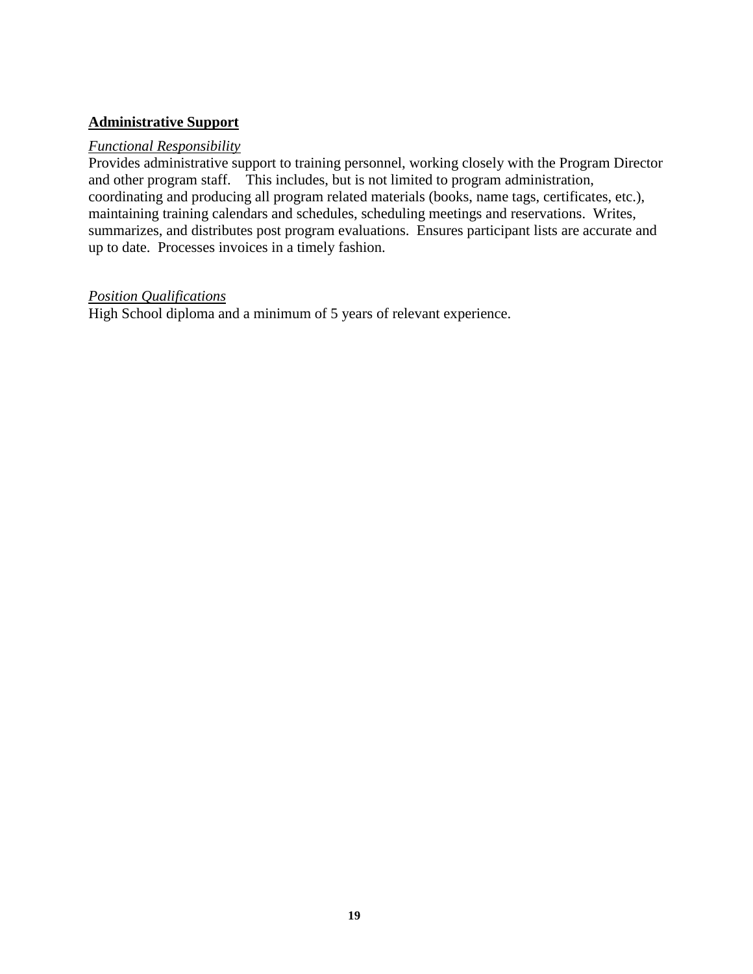### **Administrative Support**

### *Functional Responsibility*

Provides administrative support to training personnel, working closely with the Program Director and other program staff. This includes, but is not limited to program administration, coordinating and producing all program related materials (books, name tags, certificates, etc.), maintaining training calendars and schedules, scheduling meetings and reservations. Writes, summarizes, and distributes post program evaluations. Ensures participant lists are accurate and up to date. Processes invoices in a timely fashion.

### *Position Qualifications*

High School diploma and a minimum of 5 years of relevant experience.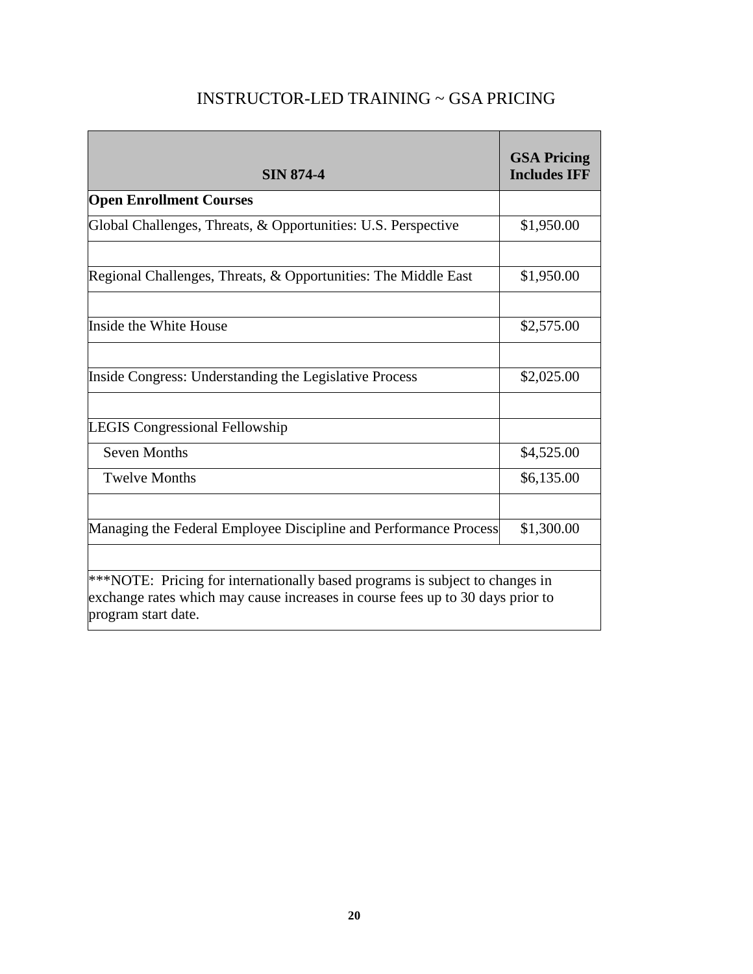<span id="page-19-0"></span>

| <b>SIN 874-4</b>                                                                                                                                                                      | <b>GSA Pricing</b><br><b>Includes IFF</b> |  |  |
|---------------------------------------------------------------------------------------------------------------------------------------------------------------------------------------|-------------------------------------------|--|--|
| <b>Open Enrollment Courses</b>                                                                                                                                                        |                                           |  |  |
| Global Challenges, Threats, & Opportunities: U.S. Perspective                                                                                                                         | \$1,950.00                                |  |  |
| Regional Challenges, Threats, & Opportunities: The Middle East                                                                                                                        | \$1,950.00                                |  |  |
| Inside the White House                                                                                                                                                                | \$2,575.00                                |  |  |
| Inside Congress: Understanding the Legislative Process                                                                                                                                | \$2,025.00                                |  |  |
| <b>LEGIS Congressional Fellowship</b>                                                                                                                                                 |                                           |  |  |
| <b>Seven Months</b>                                                                                                                                                                   | \$4,525.00                                |  |  |
| <b>Twelve Months</b>                                                                                                                                                                  | \$6,135.00                                |  |  |
| Managing the Federal Employee Discipline and Performance Process                                                                                                                      | \$1,300.00                                |  |  |
| ***NOTE: Pricing for internationally based programs is subject to changes in<br>exchange rates which may cause increases in course fees up to 30 days prior to<br>program start date. |                                           |  |  |

# INSTRUCTOR-LED TRAINING ~ GSA PRICING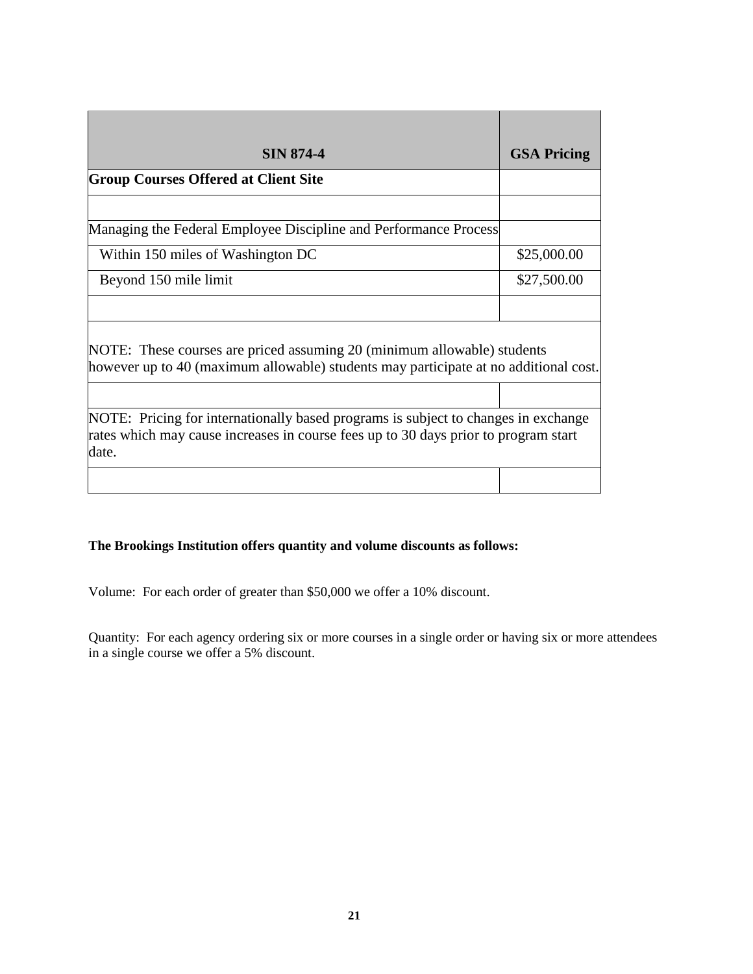| <b>SIN 874-4</b>                                                                                                                                                                   | <b>GSA Pricing</b> |
|------------------------------------------------------------------------------------------------------------------------------------------------------------------------------------|--------------------|
| <b>Group Courses Offered at Client Site</b>                                                                                                                                        |                    |
|                                                                                                                                                                                    |                    |
| Managing the Federal Employee Discipline and Performance Process                                                                                                                   |                    |
| Within 150 miles of Washington DC                                                                                                                                                  | \$25,000.00        |
| Beyond 150 mile limit                                                                                                                                                              | \$27,500.00        |
|                                                                                                                                                                                    |                    |
| NOTE: These courses are priced assuming 20 (minimum allowable) students<br>however up to 40 (maximum allowable) students may participate at no additional cost.                    |                    |
|                                                                                                                                                                                    |                    |
| NOTE: Pricing for internationally based programs is subject to changes in exchange<br>rates which may cause increases in course fees up to 30 days prior to program start<br>date. |                    |
|                                                                                                                                                                                    |                    |

### **The Brookings Institution offers quantity and volume discounts as follows:**

Volume: For each order of greater than \$50,000 we offer a 10% discount.

Quantity: For each agency ordering six or more courses in a single order or having six or more attendees in a single course we offer a 5% discount.